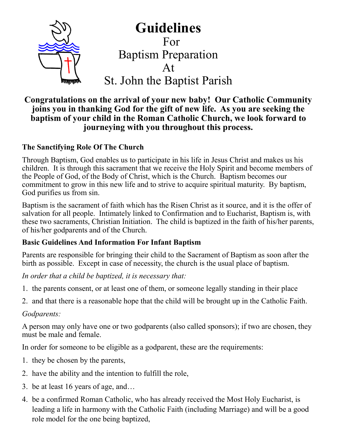

**Guidelines** For Baptism Preparation At

St. John the Baptist Parish

# **Congratulations on the arrival of your new baby! Our Catholic Community joins you in thanking God for the gift of new life. As you are seeking the baptism of your child in the Roman Catholic Church, we look forward to journeying with you throughout this process.**

## **The Sanctifying Role Of The Church**

Through Baptism, God enables us to participate in his life in Jesus Christ and makes us his children. It is through this sacrament that we receive the Holy Spirit and become members of the People of God, of the Body of Christ, which is the Church. Baptism becomes our commitment to grow in this new life and to strive to acquire spiritual maturity. By baptism, God purifies us from sin.

Baptism is the sacrament of faith which has the Risen Christ as it source, and it is the offer of salvation for all people. Intimately linked to Confirmation and to Eucharist, Baptism is, with these two sacraments, Christian Initiation. The child is baptized in the faith of his/her parents, of his/her godparents and of the Church.

## **Basic Guidelines And Information For Infant Baptism**

Parents are responsible for bringing their child to the Sacrament of Baptism as soon after the birth as possible. Except in case of necessity, the church is the usual place of baptism.

*In order that a child be baptized, it is necessary that:*

- 1. the parents consent, or at least one of them, or someone legally standing in their place
- 2. and that there is a reasonable hope that the child will be brought up in the Catholic Faith.

*Godparents:*

A person may only have one or two godparents (also called sponsors); if two are chosen, they must be male and female.

In order for someone to be eligible as a godparent, these are the requirements:

- 1. they be chosen by the parents,
- 2. have the ability and the intention to fulfill the role,
- 3. be at least 16 years of age, and…
- 4. be a confirmed Roman Catholic, who has already received the Most Holy Eucharist, is leading a life in harmony with the Catholic Faith (including Marriage) and will be a good role model for the one being baptized,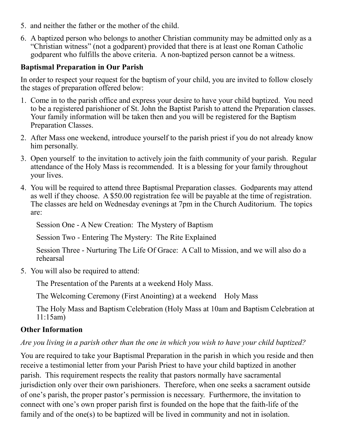- 5. and neither the father or the mother of the child.
- 6. A baptized person who belongs to another Christian community may be admitted only as a "Christian witness" (not a godparent) provided that there is at least one Roman Catholic godparent who fulfills the above criteria. A non-baptized person cannot be a witness.

#### **Baptismal Preparation in Our Parish**

In order to respect your request for the baptism of your child, you are invited to follow closely the stages of preparation offered below:

- 1. Come in to the parish office and express your desire to have your child baptized. You need to be a registered parishioner of St. John the Baptist Parish to attend the Preparation classes. Your family information will be taken then and you will be registered for the Baptism Preparation Classes.
- 2. After Mass one weekend, introduce yourself to the parish priest if you do not already know him personally.
- 3. Open yourself to the invitation to actively join the faith community of your parish. Regular attendance of the Holy Mass is recommended. It is a blessing for your family throughout your lives.
- 4. You will be required to attend three Baptismal Preparation classes. Godparents may attend as well if they choose. A \$50.00 registration fee will be payable at the time of registration. The classes are held on Wednesday evenings at 7pm in the Church Auditorium. The topics are:

Session One - A New Creation: The Mystery of Baptism

Session Two - Entering The Mystery: The Rite Explained

Session Three - Nurturing The Life Of Grace: A Call to Mission, and we will also do a rehearsal

5. You will also be required to attend:

The Presentation of the Parents at a weekend Holy Mass.

The Welcoming Ceremony (First Anointing) at a weekend Holy Mass

The Holy Mass and Baptism Celebration (Holy Mass at 10am and Baptism Celebration at 11:15am)

# **Other Information**

## *Are you living in a parish other than the one in which you wish to have your child baptized?*

You are required to take your Baptismal Preparation in the parish in which you reside and then receive a testimonial letter from your Parish Priest to have your child baptized in another parish. This requirement respects the reality that pastors normally have sacramental jurisdiction only over their own parishioners. Therefore, when one seeks a sacrament outside of one's parish, the proper pastor's permission is necessary. Furthermore, the invitation to connect with one's own proper parish first is founded on the hope that the faith-life of the family and of the one(s) to be baptized will be lived in community and not in isolation.